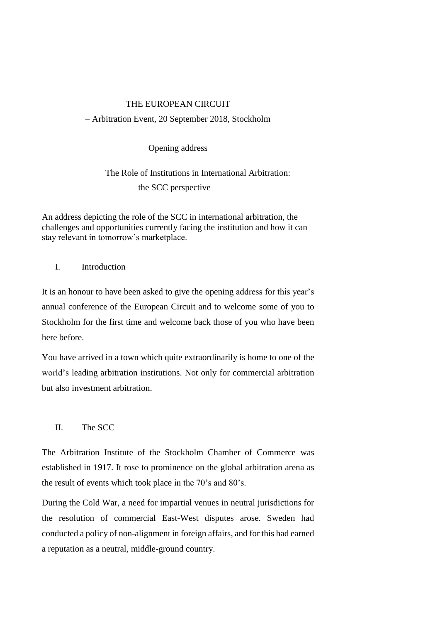# THE EUROPEAN CIRCUIT – Arbitration Event, 20 September 2018, Stockholm

Opening address

The Role of Institutions in International Arbitration: the SCC perspective

An address depicting the role of the SCC in international arbitration, the challenges and opportunities currently facing the institution and how it can stay relevant in tomorrow's marketplace.

# I. Introduction

It is an honour to have been asked to give the opening address for this year's annual conference of the European Circuit and to welcome some of you to Stockholm for the first time and welcome back those of you who have been here before.

You have arrived in a town which quite extraordinarily is home to one of the world's leading arbitration institutions. Not only for commercial arbitration but also investment arbitration.

## II. The SCC

The Arbitration Institute of the Stockholm Chamber of Commerce was established in 1917. It rose to prominence on the global arbitration arena as the result of events which took place in the 70's and 80's.

During the Cold War, a need for impartial venues in neutral jurisdictions for the resolution of commercial East-West disputes arose. Sweden had conducted a policy of non-alignment in foreign affairs, and for this had earned a reputation as a neutral, middle-ground country.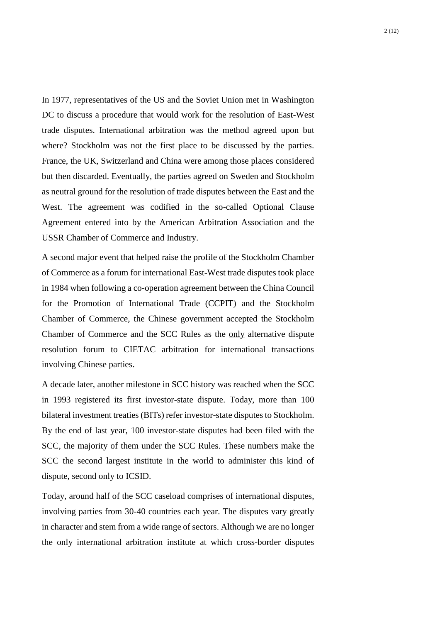In 1977, representatives of the US and the Soviet Union met in Washington DC to discuss a procedure that would work for the resolution of East-West trade disputes. International arbitration was the method agreed upon but where? Stockholm was not the first place to be discussed by the parties. France, the UK, Switzerland and China were among those places considered but then discarded. Eventually, the parties agreed on Sweden and Stockholm as neutral ground for the resolution of trade disputes between the East and the West. The agreement was codified in the so-called Optional Clause Agreement entered into by the American Arbitration Association and the USSR Chamber of Commerce and Industry.

A second major event that helped raise the profile of the Stockholm Chamber of Commerce as a forum for international East-West trade disputes took place in 1984 when following a co-operation agreement between the China Council for the Promotion of International Trade (CCPIT) and the Stockholm Chamber of Commerce, the Chinese government accepted the Stockholm Chamber of Commerce and the SCC Rules as the only alternative dispute resolution forum to CIETAC arbitration for international transactions involving Chinese parties.

A decade later, another milestone in SCC history was reached when the SCC in 1993 registered its first investor-state dispute. Today, more than 100 bilateral investment treaties (BITs) refer investor-state disputes to Stockholm. By the end of last year, 100 investor-state disputes had been filed with the SCC, the majority of them under the SCC Rules. These numbers make the SCC the second largest institute in the world to administer this kind of dispute, second only to ICSID.

Today, around half of the SCC caseload comprises of international disputes, involving parties from 30-40 countries each year. The disputes vary greatly in character and stem from a wide range of sectors. Although we are no longer the only international arbitration institute at which cross-border disputes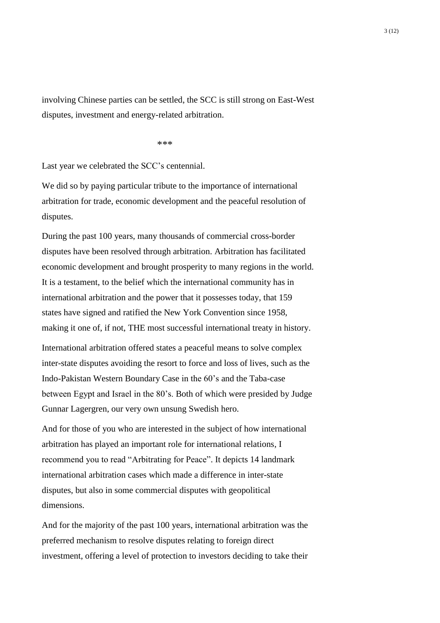involving Chinese parties can be settled, the SCC is still strong on East-West disputes, investment and energy-related arbitration.

\*\*\*

Last year we celebrated the SCC's centennial.

We did so by paying particular tribute to the importance of international arbitration for trade, economic development and the peaceful resolution of disputes.

During the past 100 years, many thousands of commercial cross-border disputes have been resolved through arbitration. Arbitration has facilitated economic development and brought prosperity to many regions in the world. It is a testament, to the belief which the international community has in international arbitration and the power that it possesses today, that 159 states have signed and ratified the New York Convention since 1958, making it one of, if not, THE most successful international treaty in history. International arbitration offered states a peaceful means to solve complex inter-state disputes avoiding the resort to force and loss of lives, such as the Indo-Pakistan Western Boundary Case in the 60's and the Taba-case between Egypt and Israel in the 80's. Both of which were presided by Judge Gunnar Lagergren, our very own unsung Swedish hero.

And for those of you who are interested in the subject of how international arbitration has played an important role for international relations, I recommend you to read "Arbitrating for Peace". It depicts 14 landmark international arbitration cases which made a difference in inter-state disputes, but also in some commercial disputes with geopolitical dimensions.

And for the majority of the past 100 years, international arbitration was the preferred mechanism to resolve disputes relating to foreign direct investment, offering a level of protection to investors deciding to take their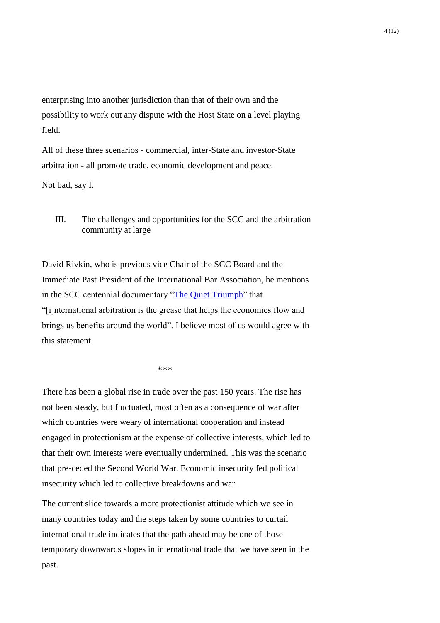enterprising into another jurisdiction than that of their own and the possibility to work out any dispute with the Host State on a level playing field.

All of these three scenarios - commercial, inter-State and investor-State arbitration - all promote trade, economic development and peace.

Not bad, say I.

III. The challenges and opportunities for the SCC and the arbitration community at large

David Rivkin, who is previous vice Chair of the SCC Board and the Immediate Past President of the International Bar Association, he mentions in the SCC centennial documentary ["The Quiet Triumph"](https://vimeo.com/205567614) that "[i]nternational arbitration is the grease that helps the economies flow and brings us benefits around the world". I believe most of us would agree with this statement.

\*\*\*

There has been a global rise in trade over the past 150 years. The rise has not been steady, but fluctuated, most often as a consequence of war after which countries were weary of international cooperation and instead engaged in protectionism at the expense of collective interests, which led to that their own interests were eventually undermined. This was the scenario that pre-ceded the Second World War. Economic insecurity fed political insecurity which led to collective breakdowns and war.

The current slide towards a more protectionist attitude which we see in many countries today and the steps taken by some countries to curtail international trade indicates that the path ahead may be one of those temporary downwards slopes in international trade that we have seen in the past.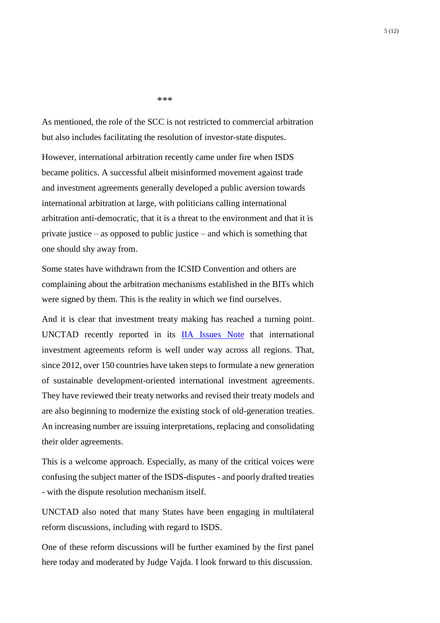\*\*\*

As mentioned, the role of the SCC is not restricted to commercial arbitration but also includes facilitating the resolution of investor-state disputes.

However, international arbitration recently came under fire when ISDS became politics. A successful albeit misinformed movement against trade and investment agreements generally developed a public aversion towards international arbitration at large, with politicians calling international arbitration anti-democratic, that it is a threat to the environment and that it is private justice – as opposed to public justice – and which is something that one should shy away from.

Some states have withdrawn from the ICSID Convention and others are complaining about the arbitration mechanisms established in the BITs which were signed by them. This is the reality in which we find ourselves.

And it is clear that investment treaty making has reached a turning point. UNCTAD recently reported in its [IIA Issues Note](http://unctad.org/en/PublicationsLibrary/diaepcbinf2018d1_en.pdf) that international investment agreements reform is well under way across all regions. That, since 2012, over 150 countries have taken steps to formulate a new generation of sustainable development-oriented international investment agreements. They have reviewed their treaty networks and revised their treaty models and are also beginning to modernize the existing stock of old-generation treaties. An increasing number are issuing interpretations, replacing and consolidating their older agreements.

This is a welcome approach. Especially, as many of the critical voices were confusing the subject matter of the ISDS-disputes - and poorly drafted treaties - with the dispute resolution mechanism itself.

UNCTAD also noted that many States have been engaging in multilateral reform discussions, including with regard to ISDS.

One of these reform discussions will be further examined by the first panel here today and moderated by Judge Vajda. I look forward to this discussion.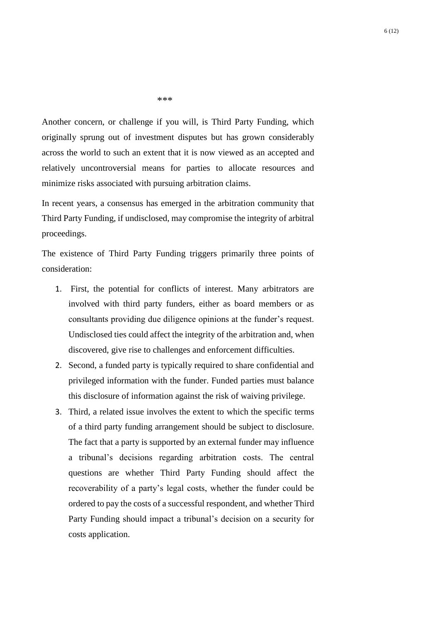6 (12)

\*\*\*

Another concern, or challenge if you will, is Third Party Funding, which originally sprung out of investment disputes but has grown considerably across the world to such an extent that it is now viewed as an accepted and relatively uncontroversial means for parties to allocate resources and minimize risks associated with pursuing arbitration claims.

In recent years, a consensus has emerged in the arbitration community that Third Party Funding, if undisclosed, may compromise the integrity of arbitral proceedings.

The existence of Third Party Funding triggers primarily three points of consideration:

- 1. First, the potential for conflicts of interest. Many arbitrators are involved with third party funders, either as board members or as consultants providing due diligence opinions at the funder's request. Undisclosed ties could affect the integrity of the arbitration and, when discovered, give rise to challenges and enforcement difficulties.
- 2. Second, a funded party is typically required to share confidential and privileged information with the funder. Funded parties must balance this disclosure of information against the risk of waiving privilege.
- 3. Third, a related issue involves the extent to which the specific terms of a third party funding arrangement should be subject to disclosure. The fact that a party is supported by an external funder may influence a tribunal's decisions regarding arbitration costs. The central questions are whether Third Party Funding should affect the recoverability of a party's legal costs, whether the funder could be ordered to pay the costs of a successful respondent, and whether Third Party Funding should impact a tribunal's decision on a security for costs application.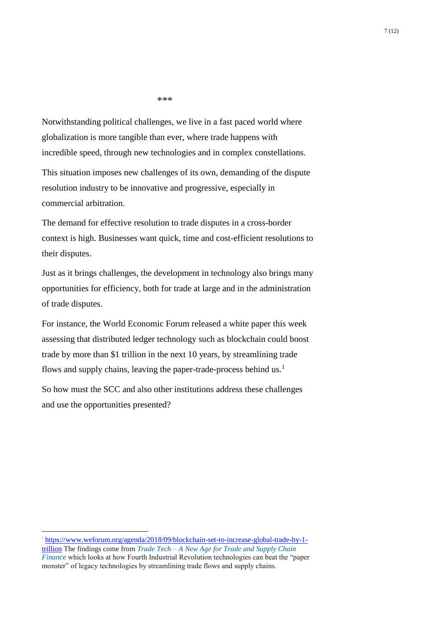\*\*\*

Notwithstanding political challenges, we live in a fast paced world where globalization is more tangible than ever, where trade happens with incredible speed, through new technologies and in complex constellations.

This situation imposes new challenges of its own, demanding of the dispute resolution industry to be innovative and progressive, especially in commercial arbitration.

The demand for effective resolution to trade disputes in a cross-border context is high. Businesses want quick, time and cost-efficient resolutions to their disputes.

Just as it brings challenges, the development in technology also brings many opportunities for efficiency, both for trade at large and in the administration of trade disputes.

For instance, the World Economic Forum released a white paper this week assessing that distributed ledger technology such as blockchain could boost trade by more than \$1 trillion in the next 10 years, by streamlining trade flows and supply chains, leaving the paper-trade-process behind us.<sup>1</sup>

So how must the SCC and also other institutions address these challenges and use the opportunities presented?

<u>.</u>

<sup>&</sup>lt;sup>1</sup>[https://www.weforum.org/agenda/2018/09/blockchain-set-to-increase-global-trade-by-1](https://www.weforum.org/agenda/2018/09/blockchain-set-to-increase-global-trade-by-1-trillion) [trillion](https://www.weforum.org/agenda/2018/09/blockchain-set-to-increase-global-trade-by-1-trillion) The findings come from *Trade Tech – [A New Age for Trade and Supply Chain](https://www.weforum.org/whitepapers/trade-tech-a-new-age-for-trade-and-supply-chain-finance)  [Finance](https://www.weforum.org/whitepapers/trade-tech-a-new-age-for-trade-and-supply-chain-finance)* which looks at how Fourth Industrial Revolution technologies can beat the "paper monster" of legacy technologies by streamlining trade flows and supply chains.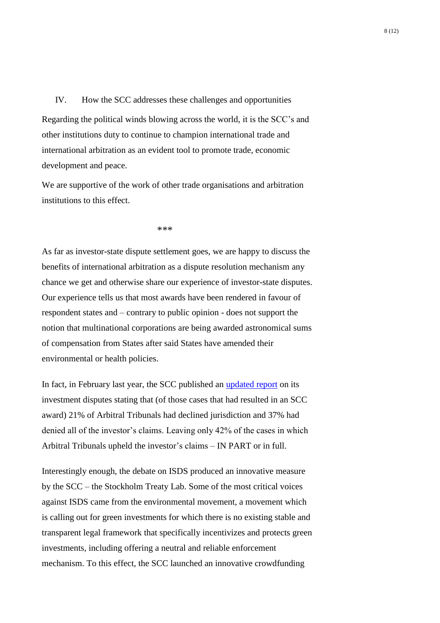## IV. How the SCC addresses these challenges and opportunities

Regarding the political winds blowing across the world, it is the SCC's and other institutions duty to continue to champion international trade and international arbitration as an evident tool to promote trade, economic development and peace.

We are supportive of the work of other trade organisations and arbitration institutions to this effect.

\*\*\*

As far as investor-state dispute settlement goes, we are happy to discuss the benefits of international arbitration as a dispute resolution mechanism any chance we get and otherwise share our experience of investor-state disputes. Our experience tells us that most awards have been rendered in favour of respondent states and – contrary to public opinion - does not support the notion that multinational corporations are being awarded astronomical sums of compensation from States after said States have amended their environmental or health policies.

In fact, in February last year, the SCC published an [updated report](https://sccinstitute.com/media/178174/investor-state-disputes-at-scc-13022017-003.pdf) on its investment disputes stating that (of those cases that had resulted in an SCC award) 21% of Arbitral Tribunals had declined jurisdiction and 37% had denied all of the investor's claims. Leaving only 42% of the cases in which Arbitral Tribunals upheld the investor's claims – IN PART or in full.

Interestingly enough, the debate on ISDS produced an innovative measure by the SCC – the Stockholm Treaty Lab. Some of the most critical voices against ISDS came from the environmental movement, a movement which is calling out for green investments for which there is no existing stable and transparent legal framework that specifically incentivizes and protects green investments, including offering a neutral and reliable enforcement mechanism. To this effect, the SCC launched an innovative crowdfunding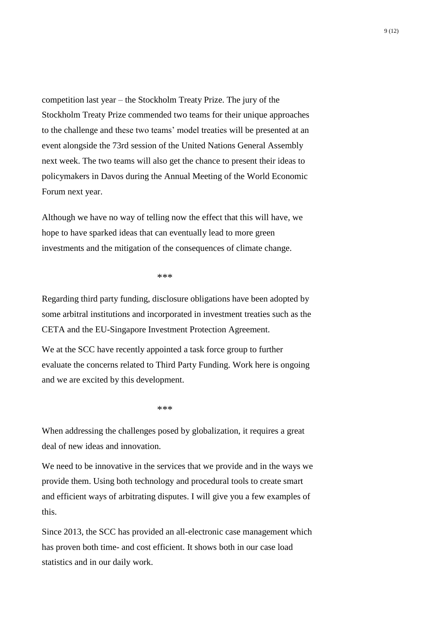competition last year – the Stockholm Treaty Prize. The jury of the Stockholm Treaty Prize commended two teams for their unique approaches to the challenge and these two teams' model treaties will be presented at an event alongside the 73rd session of the United Nations General Assembly next week. The two teams will also get the chance to present their ideas to policymakers in Davos during the Annual Meeting of the World Economic Forum next year.

Although we have no way of telling now the effect that this will have, we hope to have sparked ideas that can eventually lead to more green investments and the mitigation of the consequences of climate change.

### \*\*\*

Regarding third party funding, disclosure obligations have been adopted by some arbitral institutions and incorporated in investment treaties such as the CETA and the EU-Singapore Investment Protection Agreement.

We at the SCC have recently appointed a task force group to further evaluate the concerns related to Third Party Funding. Work here is ongoing and we are excited by this development.

#### \*\*\*

When addressing the challenges posed by globalization, it requires a great deal of new ideas and innovation.

We need to be innovative in the services that we provide and in the ways we provide them. Using both technology and procedural tools to create smart and efficient ways of arbitrating disputes. I will give you a few examples of this.

Since 2013, the SCC has provided an all-electronic case management which has proven both time- and cost efficient. It shows both in our case load statistics and in our daily work.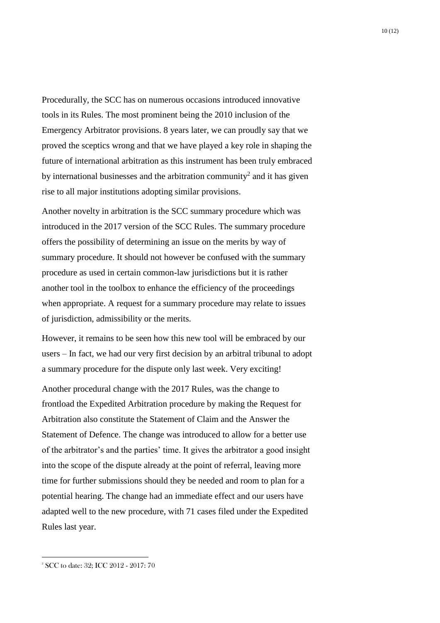Procedurally, the SCC has on numerous occasions introduced innovative tools in its Rules. The most prominent being the 2010 inclusion of the Emergency Arbitrator provisions. 8 years later, we can proudly say that we proved the sceptics wrong and that we have played a key role in shaping the future of international arbitration as this instrument has been truly embraced by international businesses and the arbitration community<sup>2</sup> and it has given rise to all major institutions adopting similar provisions.

Another novelty in arbitration is the SCC summary procedure which was introduced in the 2017 version of the SCC Rules. The summary procedure offers the possibility of determining an issue on the merits by way of summary procedure. It should not however be confused with the summary procedure as used in certain common-law jurisdictions but it is rather another tool in the toolbox to enhance the efficiency of the proceedings when appropriate. A request for a summary procedure may relate to issues of jurisdiction, admissibility or the merits.

However, it remains to be seen how this new tool will be embraced by our users – In fact, we had our very first decision by an arbitral tribunal to adopt a summary procedure for the dispute only last week. Very exciting!

Another procedural change with the 2017 Rules, was the change to frontload the Expedited Arbitration procedure by making the Request for Arbitration also constitute the Statement of Claim and the Answer the Statement of Defence. The change was introduced to allow for a better use of the arbitrator's and the parties' time. It gives the arbitrator a good insight into the scope of the dispute already at the point of referral, leaving more time for further submissions should they be needed and room to plan for a potential hearing. The change had an immediate effect and our users have adapted well to the new procedure, with 71 cases filed under the Expedited Rules last year.

<u>.</u>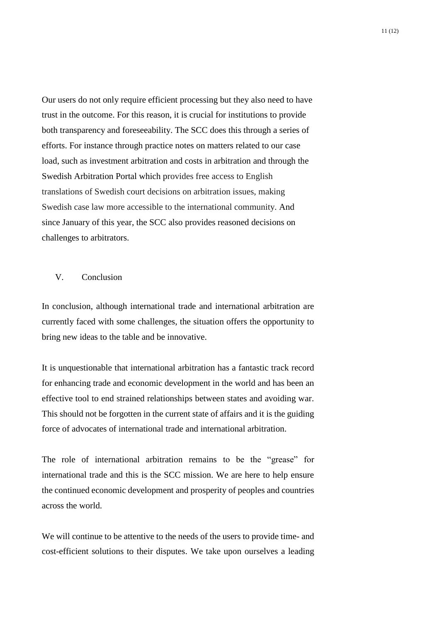Our users do not only require efficient processing but they also need to have trust in the outcome. For this reason, it is crucial for institutions to provide both transparency and foreseeability. The SCC does this through a series of efforts. For instance through practice notes on matters related to our case load, such as investment arbitration and costs in arbitration and through the Swedish Arbitration Portal which provides free access to English translations of Swedish court decisions on arbitration issues, making Swedish case law more accessible to the international community. And since January of this year, the SCC also provides reasoned decisions on challenges to arbitrators.

## V. Conclusion

In conclusion, although international trade and international arbitration are currently faced with some challenges, the situation offers the opportunity to bring new ideas to the table and be innovative.

It is unquestionable that international arbitration has a fantastic track record for enhancing trade and economic development in the world and has been an effective tool to end strained relationships between states and avoiding war. This should not be forgotten in the current state of affairs and it is the guiding force of advocates of international trade and international arbitration.

The role of international arbitration remains to be the "grease" for international trade and this is the SCC mission. We are here to help ensure the continued economic development and prosperity of peoples and countries across the world.

We will continue to be attentive to the needs of the users to provide time- and cost-efficient solutions to their disputes. We take upon ourselves a leading